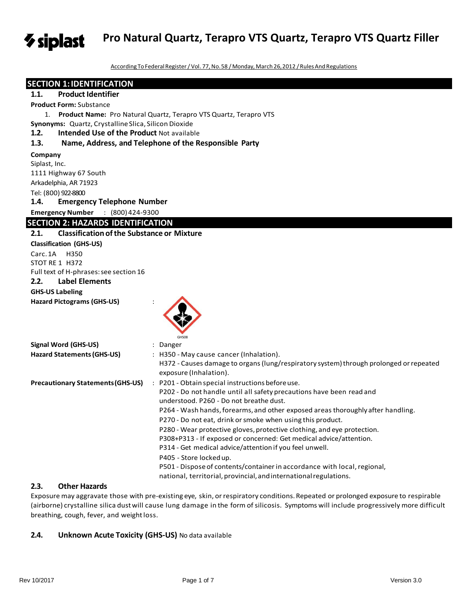*V* siplast **Pro Natural Quartz, Terapro VTS Quartz, Terapro VTS Quartz Filler**

According To Federal Register / Vol. 77, No.58 / Monday, March 26, 2012 / Rules And Regulations

# **SECTION 1:IDENTIFICATION**

# **1.1.** Product Identifier

**Product Form:** Substance

1. **Product Name:** Pro Natural Quartz, Terapro VTS Quartz, Terapro VTS

**Synonyms:** Quartz, Crystalline Slica, Silicon Dioxide

#### **1.2. Intended Use of the Product** Not available

### **1.3. Name, Address, and Telephone of the Responsible Party**

#### **Company**

Siplast, Inc. 1111 Highway 67 South Arkadelphia, AR 71923 Tel: (800) 922-8800 **1.4. Emergency Telephone Number Emergency Number** : (800)424-9300

# **SECTION 2: HAZARDS IDENTIFICATION**

# **2.1. Classificationofthe Substance or Mixture**

**Classification (GHS-US)** Carc.1A H350 STOT RE 1 H372 Full text of H-phrases:see section 16 **2.2. Label Elements**

# **GHS-US Labeling**

# **Hazard Pictograms (GHS-US)** :



| <b>Signal Word (GHS-US)</b>              | $:$ Danger                                                                                                                                                                                                                                                                                                                                                                                                                                                                                                                                                                                                                                                                                                   |
|------------------------------------------|--------------------------------------------------------------------------------------------------------------------------------------------------------------------------------------------------------------------------------------------------------------------------------------------------------------------------------------------------------------------------------------------------------------------------------------------------------------------------------------------------------------------------------------------------------------------------------------------------------------------------------------------------------------------------------------------------------------|
| Hazard Statements (GHS-US)               | : H350 - May cause cancer (Inhalation).<br>H372 - Causes damage to organs (lung/respiratory system) through prolonged or repeated<br>exposure (Inhalation).                                                                                                                                                                                                                                                                                                                                                                                                                                                                                                                                                  |
| <b>Precautionary Statements (GHS-US)</b> | : P201 - Obtain special instructions before use.<br>P202 - Do not handle until all safety precautions have been read and<br>understood. P260 - Do not breathe dust.<br>P264 - Wash hands, forearms, and other exposed areas thoroughly after handling.<br>P270 - Do not eat, drink or smoke when using this product.<br>P280 - Wear protective gloves, protective clothing, and eye protection.<br>P308+P313 - If exposed or concerned: Get medical advice/attention.<br>P314 - Get medical advice/attention if you feel unwell.<br>P405 - Store locked up.<br>P501 - Dispose of contents/container in accordance with local, regional,<br>national, territorial, provincial, and international regulations. |

# **2.3. Other Hazards**

Exposure may aggravate those with pre-existing eye, skin, orrespiratory conditions.Repeated or prolonged exposure to respirable (airborne) crystalline silica dustwill cause lung damage in the form of silicosis. Symptoms will include progressively more difficult breathing, cough, fever, and weight loss.

# **2.4. Unknown Acute Toxicity (GHS-US)** No data available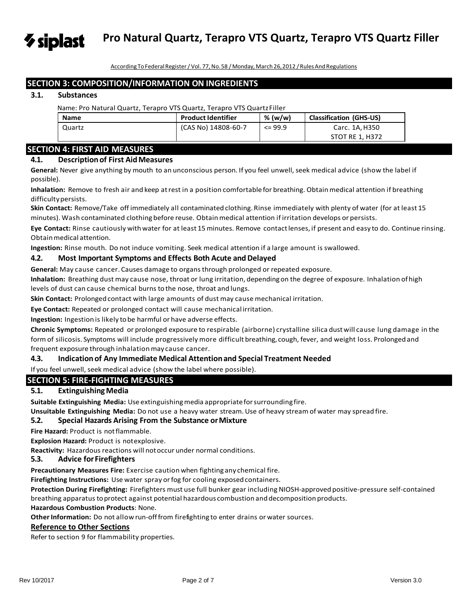According ToFederalRegister/ Vol. 77,No.58 /Monday, March 26,2012 /RulesAnd Regulations

**Pro Natural Quartz, Terapro VTS Quartz, Terapro VTS Quartz Filler**

# **SECTION 3: COMPOSITION/INFORMATION ON INGREDIENTS**

# **3.1. Substances**

 $\gamma$  siplast

Name: Pro Natural Quartz, Terapro VTS Quartz, Terapro VTS QuartzFiller

| <b>Name</b> | <b>Product Identifier</b> | % (w/w)     | <b>Classification (GHS-US)</b> |
|-------------|---------------------------|-------------|--------------------------------|
| Quartz      | (CAS No) 14808-60-7       | $\leq$ 99.9 | Carc. 1A, H350                 |
|             |                           |             | STOT RE 1, H372                |

# **SECTION 4: FIRST AID MEASURES**

# **4.1. Descriptionof First AidMeasures**

**General:** Never give anything by mouth to an unconscious person. If you feel unwell, seek medical advice (show the label if possible).

**Inhalation:** Remove to fresh air and keep atrest in a position comfortablefor breathing. Obtainmedical attention if breathing difficultypersists.

**Skin Contact:** Remove/Take off immediately all contaminated clothing. Rinse immediately with plenty of water (for at least 15 minutes). Wash contaminated clothing before reuse. Obtainmedical attention if irritation develops or persists.

**Eye Contact:** Rinse cautiously withwater for at least 15 minutes. Remove contactlenses, if present and easy to do. Continue rinsing. Obtainmedical attention.

**Ingestion:** Rinse mouth. Do not induce vomiting. Seek medical attention if a large amount is swallowed.

# **4.2. Most Important Symptoms and Effects Both Acute and Delayed**

**General:** May cause cancer. Causes damage to organsthrough prolonged or repeated exposure.

**Inhalation:** Breathing dust may cause nose, throat or lung irritation, dependingon the degree of exposure. Inhalation ofhigh levels of dust can cause chemical burns to the nose, throat and lungs.

**Skin Contact:** Prolonged contact with large amounts of dust may cause mechanical irritation.

**Eye Contact:** Repeated or prolonged contact will cause mechanical irritation.

**Ingestion:** Ingestion is likely tobe harmful or have adverse effects.

**Chronic Symptoms:** Repeated or prolonged exposure to respirable (airborne) crystalline silica dustwill cause lung damage in the form of silicosis. Symptoms will include progressively more difficult breathing, cough, fever, and weight loss. Prolonged and frequent exposure through inhalation may cause cancer.

# **4.3. Indicationof Any Immediate Medical Attentionand Special Treatment Needed**

If you feel unwell, seek medical advice (show the label where possible).

# **SECTION 5: FIRE-FIGHTING MEASURES**

# **5.1. ExtinguishingMedia**

**Suitable Extinguishing Media:** Use extinguishingmedia appropriateforsurrounding fire.

**Unsuitable Extinguishing Media:** Do not use a heavy water stream.Use of heavy stream of water may spread fire.

# **5.2. Special Hazards Arising From the Substance orMixture**

**Fire Hazard: Product is not flammable.** 

**Explosion Hazard:** Product is notexplosive.

**Reactivity:** Hazardous reactions will notoccur under normal conditions.

# **5.3. Advice forFirefighters**

**Precautionary Measures Fire:** Exercise caution when fighting any chemical fire.

**Firefighting Instructions:** Use water spray orfog for cooling exposedcontainers.

**Protection During Firefighting:** Firefighters must use full bunker gear including NIOSH-approved positive-pressure self-contained breathing apparatus to protect against potential hazardous combustion and decomposition products.

# **Hazardous Combustion Products**: None.

Other Information: Do not allow run-off from firefighting to enter drains or water sources.

# **Reference to Other Sections**

Refer to section 9 for flammability properties.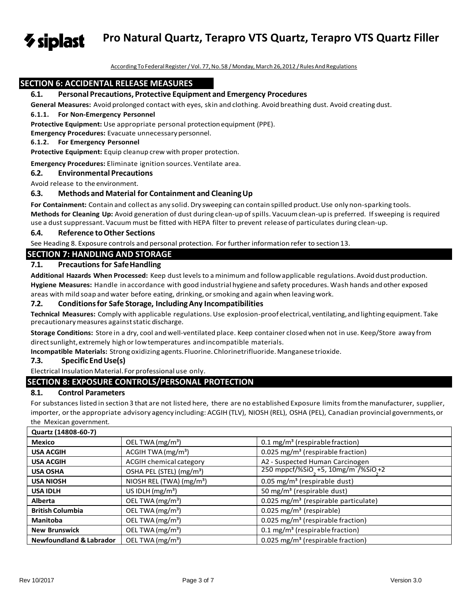**Pro Natural Quartz, Terapro VTS Quartz, Terapro VTS Quartz Filler**  $\gamma$  siplast

According ToFederalRegister/ Vol. 77,No.58 /Monday, March 26,2012 /RulesAnd Regulations

# **SECTION 6: ACCIDENTAL RELEASE MEASURES**

### **6.1. Personal Precautions, Protective Equipment and Emergency Procedures**

**General Measures:** Avoid prolonged contact with eyes, skin and clothing. Avoid breathing dust. Avoid creating dust.

#### **6.1.1. For Non-Emergency Personnel**

**Protective Equipment:** Use appropriate personal protectionequipment (PPE).

**Emergency Procedures:** Evacuate unnecessary personnel.

#### **6.1.2. For Emergency Personnel**

**Protective Equipment:** Equip cleanup crew with proper protection.

**Emergency Procedures:** Eliminate ignition sources.Ventilate area.

#### **6.2. Environmental Precautions**

Avoid release to the environment.

# **6.3. Methods and Material for Containment and CleaningUp**

For Containment: Contain and collect as any solid. Dry sweeping can contain spilled product. Use only non-sparking tools. **Methods for Cleaning Up:** Avoid generation of dust during clean-up ofspills. Vacuumclean-up is preferred. Ifsweeping is required use a dust suppressant. Vacuum must be fitted with HEPA filter to prevent release of particulates during clean-up.

#### **6.4. Reference toOther Sections**

See Heading 8. Exposure controls and personal protection. For further information refer to section 13.

# **SECTION 7: HANDLING AND STORAGE**

# **7.1. Precautions for SafeHandling**

**Additional Hazards When Processed:** Keep dust levelsto a minimum and followapplicable regulations.Avoiddustproduction.

**Hygiene Measures:** Handle in accordance with good industrial hygiene and safety procedures. Wash hands and other exposed areas with mild soap and water before eating, drinking, orsmoking and again when leaving work.

#### **7.2. Conditionsfor Safe Storage, IncludingAny Incompatibilities**

**Technical Measures:** Comply with applicable regulations.Use explosion-proof electrical, ventilating,and lighting equipment. Take precautionarymeasures againststatic discharge.

**Storage Conditions:** Store in a dry, cool andwell-ventilated place. Keep container closed when not in use. Keep/Store away from directsunlight,extremely highor lowtemperatures andincompatible materials.

**Incompatible Materials:** Strong oxidizing agents.Fluorine.Chlorinetrifluoride.Manganese trioxide.

#### **7.3. Specific EndUse(s)**

Electrical Insulation Material. For professional use only.

# **SECTION 8: EXPOSURE CONTROLS/PERSONAL PROTECTION**

# **8.1. Control Parameters**

For substances listed in section 3 that are not listed here, there are no established Exposure limits fromthe manufacturer, supplier, importer, or the appropriate advisory agency including: ACGIH (TLV), NIOSH (REL), OSHA (PEL), Canadian provincial governments, or the Mexican government.

| Quartz (14808-60-7)                |                                      |                                                    |
|------------------------------------|--------------------------------------|----------------------------------------------------|
| <b>Mexico</b>                      | OEL TWA (mg/m <sup>3</sup> )         | 0.1 mg/m <sup>3</sup> (respirable fraction)        |
| <b>USA ACGIH</b>                   | ACGIH TWA(mg/m <sup>3</sup> )        | 0.025 mg/m <sup>3</sup> (respirable fraction)      |
| <b>USA ACGIH</b>                   | ACGIH chemical category              | A2 - Suspected Human Carcinogen                    |
| <b>USA OSHA</b>                    | OSHA PEL (STEL) (mg/m <sup>3</sup> ) | 250 mppcf/%SiO +5, 10mg/m <sup>2</sup> /%SiO +2    |
| <b>USA NIOSH</b>                   | NIOSH REL (TWA) (mg/m <sup>3</sup> ) | 0.05 mg/m <sup>3</sup> (respirable dust)           |
| <b>USA IDLH</b>                    | US IDLH $(mg/m3)$                    | 50 mg/m <sup>3</sup> (respirable dust)             |
| <b>Alberta</b>                     | OEL TWA (mg/m <sup>3</sup> )         | $0.025$ mg/m <sup>3</sup> (respirable particulate) |
| <b>British Columbia</b>            | OEL TWA (mg/m <sup>3</sup> )         | $0.025$ mg/m <sup>3</sup> (respirable)             |
| <b>Manitoba</b>                    | OEL TWA (mg/m <sup>3</sup> )         | 0.025 mg/m <sup>3</sup> (respirable fraction)      |
| <b>New Brunswick</b>               | OEL TWA (mg/m <sup>3</sup> )         | 0.1 mg/m <sup>3</sup> (respirable fraction)        |
| <b>Newfoundland &amp; Labrador</b> | OEL TWA $(mg/m3)$                    | 0.025 mg/m <sup>3</sup> (respirable fraction)      |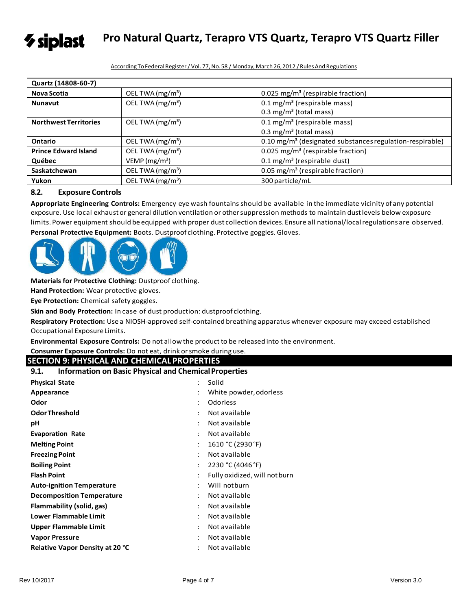

**Pro Natural Quartz, Terapro VTS Quartz, Terapro VTS Quartz Filler**

According To Federal Register / Vol. 77, No.58 / Monday, March 26, 2012 / Rules And Regulations

| Quartz (14808-60-7)          |                              |                                                                      |
|------------------------------|------------------------------|----------------------------------------------------------------------|
| <b>Nova Scotia</b>           | OEL TWA (mg/m <sup>3</sup> ) | 0.025 mg/m <sup>3</sup> (respirable fraction)                        |
| <b>Nunavut</b>               | OEL TWA (mg/m <sup>3</sup> ) | $0.1 \text{ mg/m}^3$ (respirable mass)                               |
|                              |                              | $0.3 \text{ mg/m}^3$ (total mass)                                    |
| <b>Northwest Territories</b> | OEL TWA $(mg/m3)$            | $0.1 \text{ mg/m}^3$ (respirable mass)                               |
|                              |                              | $0.3 \text{ mg/m}^3$ (total mass)                                    |
| Ontario                      | OEL TWA $(mg/m3)$            | 0.10 mg/m <sup>3</sup> (designated substances regulation-respirable) |
| <b>Prince Edward Island</b>  | OEL TWA (mg/m <sup>3</sup> ) | 0.025 mg/m <sup>3</sup> (respirable fraction)                        |
| Québec                       | VEMP (mg/m <sup>3</sup> )    | $0.1 \text{ mg/m}^3$ (respirable dust)                               |
| Saskatchewan                 | OEL TWA (mg/m <sup>3</sup> ) | 0.05 mg/m <sup>3</sup> (respirable fraction)                         |
| Yukon                        | OEL TWA (mg/m <sup>3</sup> ) | 300 particle/mL                                                      |

# **8.2. Exposure Controls**

**Appropriate Engineering Controls:** Emergency eye wash fountainsshould be available in the immediate vicinity ofany potential exposure. Use local exhaustor general dilution ventilation or othersuppression methods to maintain dustlevels below exposure limits. Power equipment should be equipped with proper dust collection devices.Ensure all national/localregulations are observed. **Personal Protective Equipment:** Boots. Dustproof clothing. Protective goggles. Gloves.



**Materials for Protective Clothing:** Dustproof clothing.

**Hand Protection:** Wear protective gloves.

**Eye Protection:** Chemical safety goggles.

**Skin and Body Protection:** In case of dust production: dustproof clothing.

**Respiratory Protection:** Use a NIOSH-approved self-contained breathing apparatus whenever exposure may exceed established Occupational ExposureLimits.

**Environmental Exposure Controls:** Do not allow the productto be released into the environment.

**Consumer Exposure Controls:** Do not eat, drink orsmoke during use.

# **SECTION 9: PHYSICAL AND CHEMICAL PROPERTIES**

| 9.1. | <b>Information on Basic Physical and Chemical Properties</b> |  |
|------|--------------------------------------------------------------|--|
|------|--------------------------------------------------------------|--|

| <b>Physical State</b>                  | $\ddot{\phantom{a}}$ | Solid                         |
|----------------------------------------|----------------------|-------------------------------|
| Appearance                             | $\ddot{\phantom{a}}$ | White powder, odorless        |
| Odor                                   |                      | <b>Odorless</b>               |
| <b>Odor Threshold</b>                  | $\ddot{\phantom{0}}$ | Not available                 |
| рH                                     | ٠                    | Not available                 |
| <b>Evaporation Rate</b>                | $\ddot{\phantom{a}}$ | Not available                 |
| <b>Melting Point</b>                   | ÷                    | 1610 °C (2930 °F)             |
| <b>Freezing Point</b>                  | $\ddot{\phantom{0}}$ | Not available                 |
| <b>Boiling Point</b>                   | $\ddot{\phantom{a}}$ | 2230 °C (4046 °F)             |
| <b>Flash Point</b>                     | $\ddot{\phantom{a}}$ | Fully oxidized, will not burn |
| <b>Auto-ignition Temperature</b>       | ÷                    | Will notburn                  |
| <b>Decomposition Temperature</b>       | ÷                    | Not available                 |
| Flammability (solid, gas)              | $\ddot{\phantom{0}}$ | Not available                 |
| <b>Lower Flammable Limit</b>           |                      | Not available                 |
| <b>Upper Flammable Limit</b>           | $\ddot{\phantom{0}}$ | Not available                 |
| <b>Vapor Pressure</b>                  | ٠                    | Not available                 |
| <b>Relative Vapor Density at 20 °C</b> |                      | Not available                 |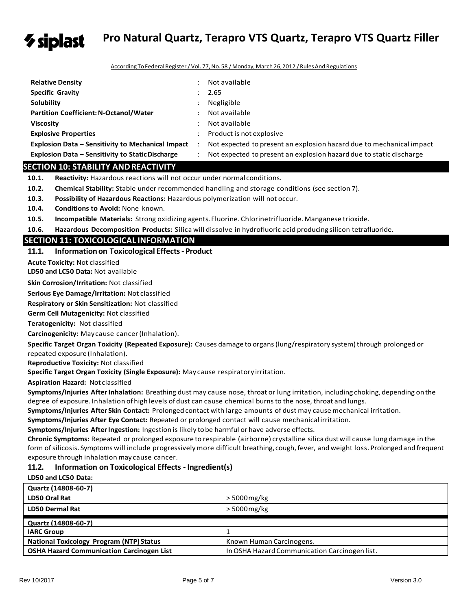

# **Pro Natural Quartz, Terapro VTS Quartz, Terapro VTS Quartz Filler**

According ToFederalRegister/ Vol. 77,No.58 /Monday, March 26,2012 /RulesAnd Regulations

| <b>Relative Density</b>                                 | $\ddot{\phantom{a}}$ | Not available                                                        |
|---------------------------------------------------------|----------------------|----------------------------------------------------------------------|
| <b>Specific Gravity</b>                                 |                      | 2.65                                                                 |
| Solubility                                              |                      | Negligible                                                           |
| <b>Partition Coefficient: N-Octanol/Water</b>           |                      | Not available                                                        |
| <b>Viscosity</b>                                        |                      | Not available                                                        |
| <b>Explosive Properties</b>                             |                      | Product is not explosive                                             |
| Explosion Data – Sensitivity to Mechanical Impact       | $\cdot$              | Not expected to present an explosion hazard due to mechanical impact |
| <b>Explosion Data – Sensitivity to Static Discharge</b> |                      | Not expected to present an explosion hazard due to static discharge  |

# **SECTION 10: STABILITY ANDREACTIVITY**

10.1. **Reactivity:** Hazardous reactions will not occur under normal conditions.

- **10.2. Chemical Stability:** Stable under recommended handling and storage conditions (see section 7).
- **10.3. Possibility of Hazardous Reactions:** Hazardous polymerization will not occur.
- **10.4. Conditions to Avoid:** None known.
- **10.5. Incompatible Materials:** Strong oxidizing agents. Fluorine. Chlorinetrifluoride. Manganese trioxide.
- **10.6. Hazardous Decomposition Products:** Silica will dissolve in hydrofluoric acid producing silicon tetrafluoride.

# **SECTION 11: TOXICOLOGICAL INFORMATION**

# **11.1. Informationon Toxicological Effects- Product**

**Acute Toxicity:** Not classified

**LD50 and LC50 Data:** Not available

**Skin Corrosion/Irritation:** Not classified

**Serious Eye Damage/Irritation:** Not classified

**Respiratory or Skin Sensitization:** Not classified

**Germ Cell Mutagenicity:** Not classified

**Teratogenicity:** Not classified

**Carcinogenicity:** Maycause cancer(Inhalation).

**Specific Target Organ Toxicity (Repeated Exposure):** Causes damage to organs(lung/respiratory system)through prolonged or repeated exposure (Inhalation).

**Reproductive Toxicity:** Not classified

**Specific Target Organ Toxicity (Single Exposure):** May cause respiratory irritation.

**Aspiration Hazard:** Not classified

**Symptoms/Injuries After Inhalation:** Breathing dust may cause nose, throat or lung irritation, including choking, depending on the degree of exposure. Inhalation of high levels of dust can cause chemical burns to the nose, throat and lungs.

**Symptoms/Injuries After Skin Contact:** Prolonged contact with large amounts of dust may cause mechanical irritation.

**Symptoms/Injuries After Eye Contact:** Repeated or prolonged contact will cause mechanical irritation.

**Symptoms/Injuries AfterIngestion:** Ingestion is likely tobe harmful or have adverse effects.

**Chronic Symptoms:** Repeated or prolonged exposure to respirable (airborne) crystalline silica dustwill cause lung damage in the form of silicosis. Symptoms will include progressively more difficult breathing, cough, fever, and weight loss. Prolonged and frequent exposure through inhalation may cause cancer.

# **11.2. Information on Toxicological Effects - Ingredient(s)**

# **LD50 and LC50 Data:**

| Quartz (14808-60-7)                              |                                               |
|--------------------------------------------------|-----------------------------------------------|
| LD50 Oral Rat                                    | $> 5000$ mg/kg                                |
| <b>LD50 Dermal Rat</b>                           | $> 5000$ mg/kg                                |
| Quartz (14808-60-7)                              |                                               |
| <b>IARC Group</b>                                |                                               |
| <b>National Toxicology Program (NTP) Status</b>  | Known Human Carcinogens.                      |
| <b>OSHA Hazard Communication Carcinogen List</b> | In OSHA Hazard Communication Carcinogen list. |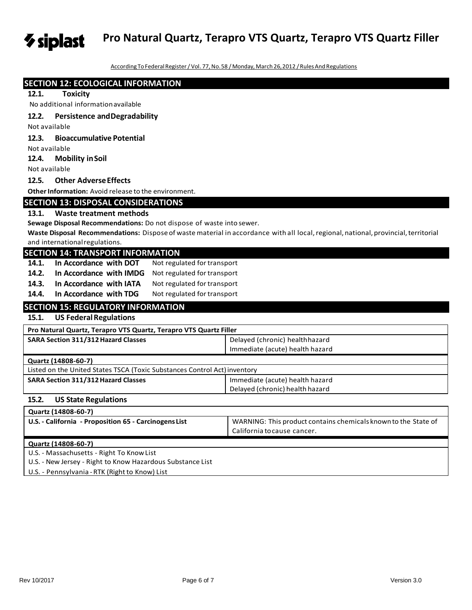**Pro Natural Quartz, Terapro VTS Quartz, Terapro VTS Quartz Filler**

According To Federal Register / Vol. 77, No.58 / Monday, March 26, 2012 / Rules And Regulations

| <b>SECTION 12: ECOLOGICAL INFORMATION</b>                                 |                                                                                                                                     |  |  |
|---------------------------------------------------------------------------|-------------------------------------------------------------------------------------------------------------------------------------|--|--|
| 12.1.<br><b>Toxicity</b>                                                  |                                                                                                                                     |  |  |
| No additional information available                                       |                                                                                                                                     |  |  |
| 12.2.<br><b>Persistence and Degradability</b>                             |                                                                                                                                     |  |  |
| Not available                                                             |                                                                                                                                     |  |  |
| 12.3.<br><b>Bioaccumulative Potential</b>                                 |                                                                                                                                     |  |  |
| Not available                                                             |                                                                                                                                     |  |  |
| 12.4.<br><b>Mobility in Soil</b>                                          |                                                                                                                                     |  |  |
| Not available                                                             |                                                                                                                                     |  |  |
| <b>Other Adverse Effects</b><br>12.5.                                     |                                                                                                                                     |  |  |
| Other Information: Avoid release to the environment.                      |                                                                                                                                     |  |  |
| <b>SECTION 13: DISPOSAL CONSIDERATIONS</b>                                |                                                                                                                                     |  |  |
| 13.1.<br><b>Waste treatment methods</b>                                   |                                                                                                                                     |  |  |
| Sewage Disposal Recommendations: Do not dispose of waste into sewer.      |                                                                                                                                     |  |  |
|                                                                           | Waste Disposal Recommendations: Dispose of waste material in accordance with all local, regional, national, provincial, territorial |  |  |
| and international regulations.                                            |                                                                                                                                     |  |  |
| <b>SECTION 14: TRANSPORT INFORMATION</b>                                  |                                                                                                                                     |  |  |
| 14.1.<br>In Accordance with DOT<br>Not regulated for transport            |                                                                                                                                     |  |  |
| 14.2.<br>Not regulated for transport<br>In Accordance with IMDG           |                                                                                                                                     |  |  |
| 14.3.<br>In Accordance with IATA<br>Not regulated for transport           |                                                                                                                                     |  |  |
| In Accordance with TDG<br>14.4.<br>Not regulated for transport            |                                                                                                                                     |  |  |
| <b>SECTION 15: REGULATORY INFORMATION</b>                                 |                                                                                                                                     |  |  |
| 15.1.<br><b>US Federal Regulations</b>                                    |                                                                                                                                     |  |  |
| Pro Natural Quartz, Terapro VTS Quartz, Terapro VTS Quartz Filler         |                                                                                                                                     |  |  |
| SARA Section 311/312 Hazard Classes                                       | Delayed (chronic) healthhazard                                                                                                      |  |  |
|                                                                           | Immediate (acute) health hazard                                                                                                     |  |  |
| Quartz (14808-60-7)                                                       |                                                                                                                                     |  |  |
| Listed on the United States TSCA (Toxic Substances Control Act) inventory |                                                                                                                                     |  |  |
| <b>SARA Section 311/312 Hazard Classes</b>                                | Immediate (acute) health hazard                                                                                                     |  |  |
|                                                                           | Delayed (chronic) health hazard                                                                                                     |  |  |
| 15.2.<br><b>US State Regulations</b>                                      |                                                                                                                                     |  |  |
| Quartz (14808-60-7)                                                       |                                                                                                                                     |  |  |
| U.S. - California - Proposition 65 - Carcinogens List                     | WARNING: This product contains chemicals known to the State of                                                                      |  |  |
|                                                                           | California to cause cancer.                                                                                                         |  |  |
| Quartz (14808-60-7)                                                       |                                                                                                                                     |  |  |
| U.S. - Massachusetts - Right To Know List                                 |                                                                                                                                     |  |  |
| U.S. - New Jersey - Right to Know Hazardous Substance List                |                                                                                                                                     |  |  |

U.S. - Pennsylvania -RTK (Right to Know) List

*V* siplast